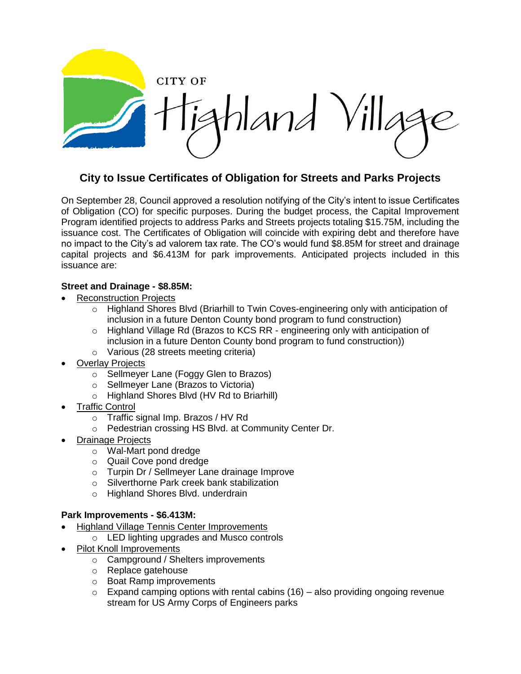CITY OF hland Villas

## **City to Issue Certificates of Obligation for Streets and Parks Projects**

On September 28, Council approved a resolution notifying of the City's intent to issue Certificates of Obligation (CO) for specific purposes. During the budget process, the Capital Improvement Program identified projects to address Parks and Streets projects totaling \$15.75M, including the issuance cost. The Certificates of Obligation will coincide with expiring debt and therefore have no impact to the City's ad valorem tax rate. The CO's would fund \$8.85M for street and drainage capital projects and \$6.413M for park improvements. Anticipated projects included in this issuance are:

## **Street and Drainage - \$8.85M:**

- Reconstruction Projects
	- o Highland Shores Blvd (Briarhill to Twin Coves-engineering only with anticipation of inclusion in a future Denton County bond program to fund construction)
	- o Highland Village Rd (Brazos to KCS RR engineering only with anticipation of inclusion in a future Denton County bond program to fund construction))
	- o Various (28 streets meeting criteria)
- Overlay Projects
	- o Sellmeyer Lane (Foggy Glen to Brazos)
	- o Sellmeyer Lane (Brazos to Victoria)
	- o Highland Shores Blvd (HV Rd to Briarhill)
- Traffic Control
	- o Traffic signal Imp. Brazos / HV Rd
	- o Pedestrian crossing HS Blvd. at Community Center Dr.
- Drainage Projects
	- o Wal-Mart pond dredge
	- o Quail Cove pond dredge
	- o Turpin Dr / Sellmeyer Lane drainage Improve
	- o Silverthorne Park creek bank stabilization
	- o Highland Shores Blvd. underdrain

## **Park Improvements - \$6.413M:**

- Highland Village Tennis Center Improvements
	- o LED lighting upgrades and Musco controls
- Pilot Knoll Improvements
	- o Campground / Shelters improvements
	- o Replace gatehouse
	- o Boat Ramp improvements
	- $\circ$  Expand camping options with rental cabins (16) also providing ongoing revenue stream for US Army Corps of Engineers parks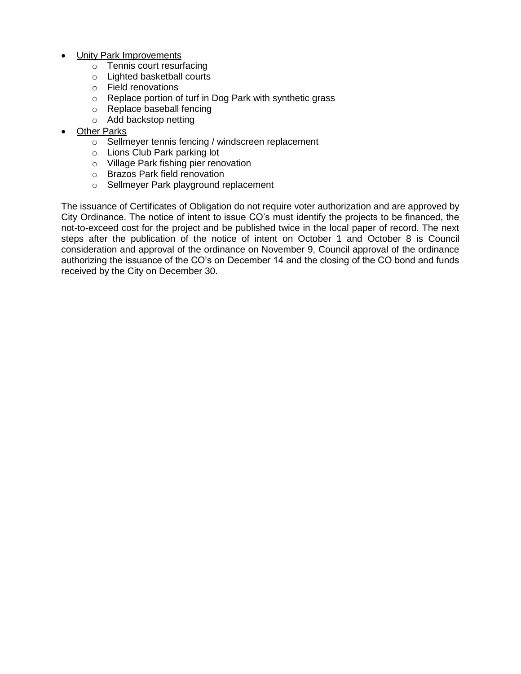- Unity Park Improvements
	- o Tennis court resurfacing
	- o Lighted basketball courts
	- o Field renovations
	- o Replace portion of turf in Dog Park with synthetic grass
	- o Replace baseball fencing
	- o Add backstop netting
- Other Parks
	- o Sellmeyer tennis fencing / windscreen replacement
	- o Lions Club Park parking lot
	- o Village Park fishing pier renovation
	- o Brazos Park field renovation
	- o Sellmeyer Park playground replacement

The issuance of Certificates of Obligation do not require voter authorization and are approved by City Ordinance. The notice of intent to issue CO's must identify the projects to be financed, the not-to-exceed cost for the project and be published twice in the local paper of record. The next steps after the publication of the notice of intent on October 1 and October 8 is Council consideration and approval of the ordinance on November 9, Council approval of the ordinance authorizing the issuance of the CO's on December 14 and the closing of the CO bond and funds received by the City on December 30.